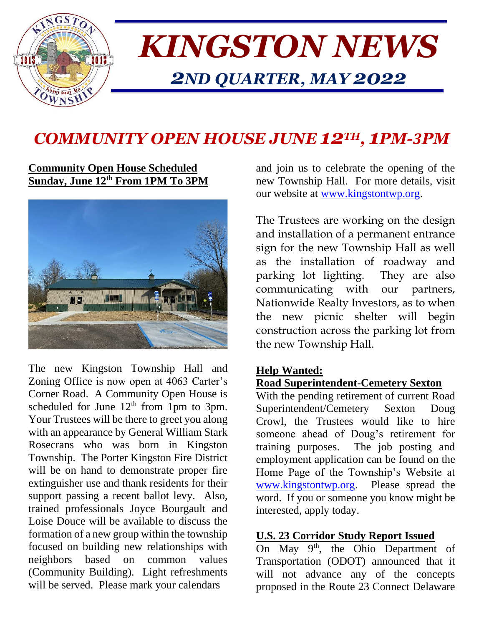

# *KINGSTON NEWS 2ND QUARTER, MAY 2022*

## *COMMUNITY OPEN HOUSE JUNE 12TH , 1PM-3PM*

#### **Community Open House Scheduled Sunday, June 12th From 1PM To 3PM**



The new Kingston Township Hall and Zoning Office is now open at 4063 Carter's Corner Road. A Community Open House is scheduled for June  $12<sup>th</sup>$  from 1pm to 3pm. Your Trustees will be there to greet you along with an appearance by General William Stark Rosecrans who was born in Kingston Township. The Porter Kingston Fire District will be on hand to demonstrate proper fire extinguisher use and thank residents for their support passing a recent ballot levy. Also, trained professionals Joyce Bourgault and Loise Douce will be available to discuss the formation of a new group within the township focused on building new relationships with neighbors based on common values (Community Building). Light refreshments will be served. Please mark your calendars

and join us to celebrate the opening of the new Township Hall. For more details, visit our website at [www.kingstontwp.org.](http://www.kingstontwp.org/)

The Trustees are working on the design and installation of a permanent entrance sign for the new Township Hall as well as the installation of roadway and parking lot lighting. They are also communicating with our partners, Nationwide Realty Investors, as to when the new picnic shelter will begin construction across the parking lot from the new Township Hall.

#### **Help Wanted:**

#### **Road Superintendent-Cemetery Sexton**

With the pending retirement of current Road Superintendent/Cemetery Sexton Doug Crowl, the Trustees would like to hire someone ahead of Doug's retirement for training purposes. The job posting and employment application can be found on the Home Page of the Township's Website at [www.kingstontwp.org.](http://www.kingstontwp.org/) Please spread the word. If you or someone you know might be interested, apply today.

#### **U.S. 23 Corridor Study Report Issued**

On May 9<sup>th</sup>, the Ohio Department of Transportation (ODOT) announced that it will not advance any of the concepts proposed in the Route 23 Connect Delaware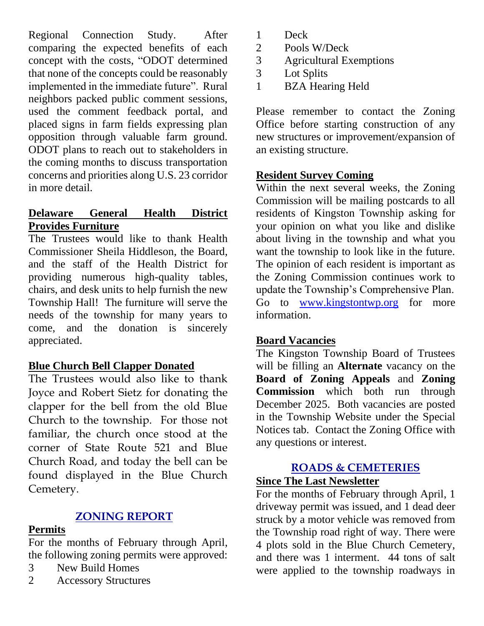Regional Connection Study. After comparing the expected benefits of each concept with the costs, "ODOT determined that none of the concepts could be reasonably implemented in the immediate future". Rural neighbors packed public comment sessions, used the comment feedback portal, and placed signs in farm fields expressing plan opposition through valuable farm ground. ODOT plans to reach out to stakeholders in the coming months to discuss transportation concerns and priorities along U.S. 23 corridor in more detail.

#### **Delaware General Health District Provides Furniture**

The Trustees would like to thank Health Commissioner Sheila Hiddleson, the Board, and the staff of the Health District for providing numerous high-quality tables, chairs, and desk units to help furnish the new Township Hall! The furniture will serve the needs of the township for many years to come, and the donation is sincerely appreciated.

#### **Blue Church Bell Clapper Donated**

The Trustees would also like to thank Joyce and Robert Sietz for donating the clapper for the bell from the old Blue Church to the township. For those not familiar, the church once stood at the corner of State Route 521 and Blue Church Road, and today the bell can be found displayed in the Blue Church Cemetery.

## **ZONING REPORT**

#### **Permits**

For the months of February through April, the following zoning permits were approved:

- 3 New Build Homes
- 2 Accessory Structures
- 1 Deck
- 2 Pools W/Deck
- 3 Agricultural Exemptions
- 3 Lot Splits
- 1 BZA Hearing Held

Please remember to contact the Zoning Office before starting construction of any new structures or improvement/expansion of an existing structure.

## **Resident Survey Coming**

Within the next several weeks, the Zoning Commission will be mailing postcards to all residents of Kingston Township asking for your opinion on what you like and dislike about living in the township and what you want the township to look like in the future. The opinion of each resident is important as the Zoning Commission continues work to update the Township's Comprehensive Plan. Go to [www.kingstontwp.org](http://www.kingstontwp.org/) for more information.

### **Board Vacancies**

The Kingston Township Board of Trustees will be filling an **Alternate** vacancy on the **Board of Zoning Appeals** and **Zoning Commission** which both run through December 2025. Both vacancies are posted in the Township Website under the Special Notices tab. Contact the Zoning Office with any questions or interest.

## **ROADS & CEMETERIES**

### **Since The Last Newsletter**

For the months of February through April, 1 driveway permit was issued, and 1 dead deer struck by a motor vehicle was removed from the Township road right of way. There were 4 plots sold in the Blue Church Cemetery, and there was 1 interment. 44 tons of salt were applied to the township roadways in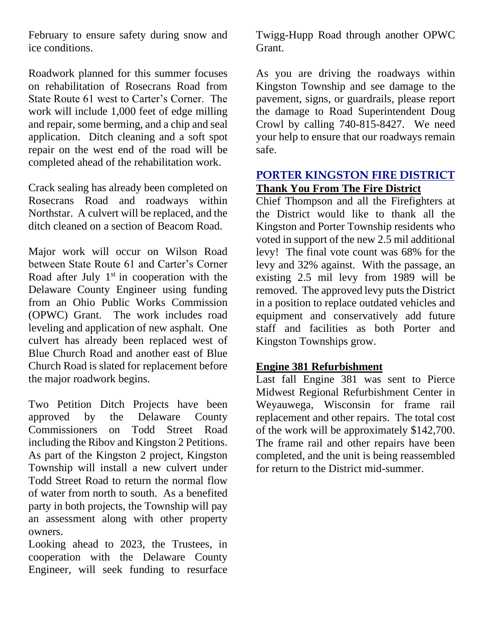February to ensure safety during snow and ice conditions.

Roadwork planned for this summer focuses on rehabilitation of Rosecrans Road from State Route 61 west to Carter's Corner. The work will include 1,000 feet of edge milling and repair, some berming, and a chip and seal application. Ditch cleaning and a soft spot repair on the west end of the road will be completed ahead of the rehabilitation work.

Crack sealing has already been completed on Rosecrans Road and roadways within Northstar. A culvert will be replaced, and the ditch cleaned on a section of Beacom Road.

Major work will occur on Wilson Road between State Route 61 and Carter's Corner Road after July  $1<sup>st</sup>$  in cooperation with the Delaware County Engineer using funding from an Ohio Public Works Commission (OPWC) Grant. The work includes road leveling and application of new asphalt. One culvert has already been replaced west of Blue Church Road and another east of Blue Church Road is slated for replacement before the major roadwork begins.

Two Petition Ditch Projects have been approved by the Delaware County Commissioners on Todd Street Road including the Ribov and Kingston 2 Petitions. As part of the Kingston 2 project, Kingston Township will install a new culvert under Todd Street Road to return the normal flow of water from north to south. As a benefited party in both projects, the Township will pay an assessment along with other property owners.

Looking ahead to 2023, the Trustees, in cooperation with the Delaware County Engineer, will seek funding to resurface Twigg-Hupp Road through another OPWC Grant.

As you are driving the roadways within Kingston Township and see damage to the pavement, signs, or guardrails, please report the damage to Road Superintendent Doug Crowl by calling 740-815-8427. We need your help to ensure that our roadways remain safe.

#### **PORTER KINGSTON FIRE DISTRICT Thank You From The Fire District**

Chief Thompson and all the Firefighters at the District would like to thank all the Kingston and Porter Township residents who voted in support of the new 2.5 mil additional levy! The final vote count was 68% for the levy and 32% against. With the passage, an existing 2.5 mil levy from 1989 will be removed. The approved levy puts the District in a position to replace outdated vehicles and equipment and conservatively add future staff and facilities as both Porter and Kingston Townships grow.

#### **Engine 381 Refurbishment**

Last fall Engine 381 was sent to Pierce Midwest Regional Refurbishment Center in Weyauwega, Wisconsin for frame rail replacement and other repairs. The total cost of the work will be approximately \$142,700. The frame rail and other repairs have been completed, and the unit is being reassembled for return to the District mid-summer.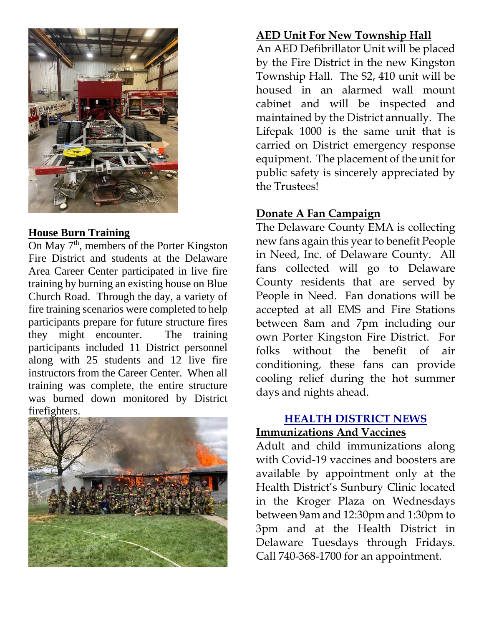

#### **House Burn Training**

On May  $7<sup>th</sup>$ , members of the Porter Kingston Fire District and students at the Delaware Area Career Center participated in live fire training by burning an existing house on Blue Church Road. Through the day, a variety of fire training scenarios were completed to help participants prepare for future structure fires they might encounter. The training participants included 11 District personnel along with 25 students and 12 live fire instructors from the Career Center. When all training was complete, the entire structure was burned down monitored by District firefighters.



## **AED Unit For New Township Hall**

An AED Defibrillator Unit will be placed by the Fire District in the new Kingston Township Hall. The \$2, 410 unit will be housed in an alarmed wall mount cabinet and will be inspected and maintained by the District annually. The Lifepak 1000 is the same unit that is carried on District emergency response equipment. The placement of the unit for public safety is sincerely appreciated by the Trustees!

## **Donate A Fan Campaign**

The Delaware County EMA is collecting new fans again this year to benefit People in Need, Inc. of Delaware County. All fans collected will go to Delaware County residents that are served by People in Need. Fan donations will be accepted at all EMS and Fire Stations between 8am and 7pm including our own Porter Kingston Fire District. For folks without the benefit of air conditioning, these fans can provide cooling relief during the hot summer days and nights ahead.

## **HEALTH DISTRICT NEWS Immunizations And Vaccines**

Adult and child immunizations along with Covid-19 vaccines and boosters are available by appointment only at the Health District's Sunbury Clinic located in the Kroger Plaza on Wednesdays between 9am and 12:30pm and 1:30pm to 3pm and at the Health District in Delaware Tuesdays through Fridays. Call 740-368-1700 for an appointment.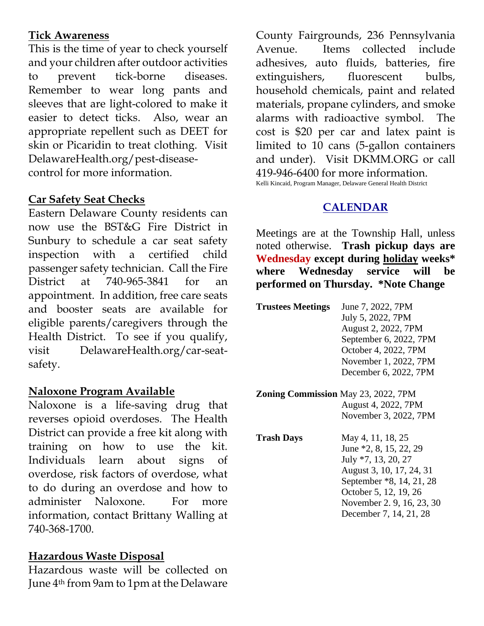### **Tick Awareness**

This is the time of year to check yourself and your children after outdoor activities to prevent tick-borne diseases. Remember to wear long pants and sleeves that are light-colored to make it easier to detect ticks. Also, wear an appropriate repellent such as DEET for skin or Picaridin to treat clothing. Visit DelawareHealth.org/pest-diseasecontrol for more information.

#### **Car Safety Seat Checks**

Eastern Delaware County residents can now use the BST&G Fire District in Sunbury to schedule a car seat safety inspection with a certified child passenger safety technician. Call the Fire District at 740-965-3841 for an appointment. In addition, free care seats and booster seats are available for eligible parents/caregivers through the Health District. To see if you qualify, visit DelawareHealth.org/car-seatsafety.

#### **Naloxone Program Available**

Naloxone is a life-saving drug that reverses opioid overdoses. The Health District can provide a free kit along with training on how to use the kit. Individuals learn about signs of overdose, risk factors of overdose, what to do during an overdose and how to administer Naloxone. For more information, contact Brittany Walling at 740-368-1700.

#### **Hazardous Waste Disposal**

Hazardous waste will be collected on June 4th from 9am to 1pm at the Delaware

County Fairgrounds, 236 Pennsylvania Avenue. Items collected include adhesives, auto fluids, batteries, fire extinguishers, fluorescent bulbs, household chemicals, paint and related materials, propane cylinders, and smoke alarms with radioactive symbol. The cost is \$20 per car and latex paint is limited to 10 cans (5-gallon containers and under). Visit DKMM.ORG or call 419-946-6400 for more information. Kelli Kincaid, Program Manager, Delaware General Health District

## **CALENDAR**

Meetings are at the Township Hall, unless noted otherwise. **Trash pickup days are Wednesday except during holiday weeks\* where Wednesday service will be performed on Thursday. \*Note Change**

| <b>Trustees Meetings</b> | June 7, 2022, 7PM      |
|--------------------------|------------------------|
|                          | July 5, 2022, 7PM      |
|                          | August 2, 2022, 7PM    |
|                          | September 6, 2022, 7PM |
|                          | October 4, 2022, 7PM   |
|                          | November 1, 2022, 7PM  |
|                          | December 6, 2022, 7PM  |

- **Zoning Commission** May 23, 2022, 7PM August 4, 2022, 7PM November 3, 2022, 7PM
- **Trash Days** May 4, 11, 18, 25 June \*2, 8, 15, 22, 29 July \*7, 13, 20, 27 August 3, 10, 17, 24, 31 September \*8, 14, 21, 28 October 5, 12, 19, 26 November 2. 9, 16, 23, 30 December 7, 14, 21, 28